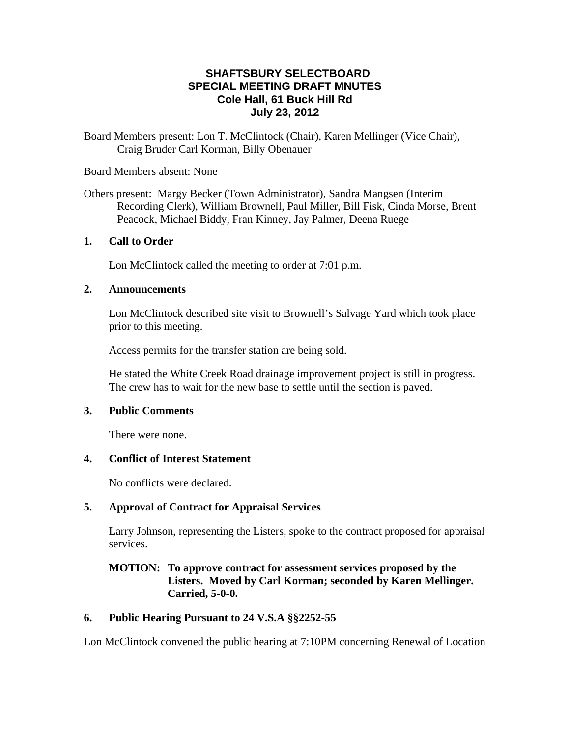## **SHAFTSBURY SELECTBOARD SPECIAL MEETING DRAFT MNUTES Cole Hall, 61 Buck Hill Rd July 23, 2012**

Board Members present: Lon T. McClintock (Chair), Karen Mellinger (Vice Chair), Craig Bruder Carl Korman, Billy Obenauer

#### Board Members absent: None

Others present: Margy Becker (Town Administrator), Sandra Mangsen (Interim Recording Clerk), William Brownell, Paul Miller, Bill Fisk, Cinda Morse, Brent Peacock, Michael Biddy, Fran Kinney, Jay Palmer, Deena Ruege

### **1. Call to Order**

Lon McClintock called the meeting to order at 7:01 p.m.

### **2. Announcements**

Lon McClintock described site visit to Brownell's Salvage Yard which took place prior to this meeting.

Access permits for the transfer station are being sold.

He stated the White Creek Road drainage improvement project is still in progress. The crew has to wait for the new base to settle until the section is paved.

### **3. Public Comments**

There were none.

### **4. Conflict of Interest Statement**

No conflicts were declared.

## **5. Approval of Contract for Appraisal Services**

Larry Johnson, representing the Listers, spoke to the contract proposed for appraisal services.

## **MOTION: To approve contract for assessment services proposed by the Listers. Moved by Carl Korman; seconded by Karen Mellinger. Carried, 5-0-0.**

## **6. Public Hearing Pursuant to 24 V.S.A §§2252-55**

Lon McClintock convened the public hearing at 7:10PM concerning Renewal of Location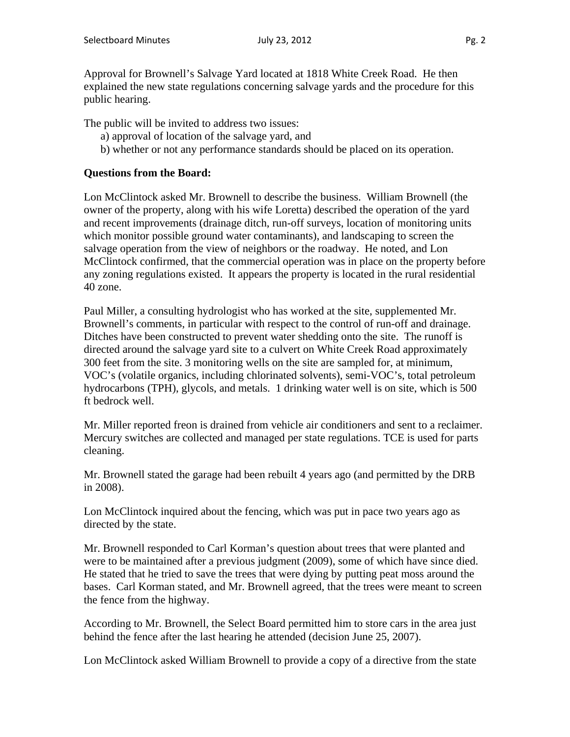Approval for Brownell's Salvage Yard located at 1818 White Creek Road. He then explained the new state regulations concerning salvage yards and the procedure for this public hearing.

The public will be invited to address two issues:

- a) approval of location of the salvage yard, and
- b) whether or not any performance standards should be placed on its operation.

### **Questions from the Board:**

Lon McClintock asked Mr. Brownell to describe the business. William Brownell (the owner of the property, along with his wife Loretta) described the operation of the yard and recent improvements (drainage ditch, run-off surveys, location of monitoring units which monitor possible ground water contaminants), and landscaping to screen the salvage operation from the view of neighbors or the roadway. He noted, and Lon McClintock confirmed, that the commercial operation was in place on the property before any zoning regulations existed. It appears the property is located in the rural residential 40 zone.

Paul Miller, a consulting hydrologist who has worked at the site, supplemented Mr. Brownell's comments, in particular with respect to the control of run-off and drainage. Ditches have been constructed to prevent water shedding onto the site. The runoff is directed around the salvage yard site to a culvert on White Creek Road approximately 300 feet from the site. 3 monitoring wells on the site are sampled for, at minimum, VOC's (volatile organics, including chlorinated solvents), semi-VOC's, total petroleum hydrocarbons (TPH), glycols, and metals. 1 drinking water well is on site, which is 500 ft bedrock well.

Mr. Miller reported freon is drained from vehicle air conditioners and sent to a reclaimer. Mercury switches are collected and managed per state regulations. TCE is used for parts cleaning.

Mr. Brownell stated the garage had been rebuilt 4 years ago (and permitted by the DRB in 2008).

Lon McClintock inquired about the fencing, which was put in pace two years ago as directed by the state.

Mr. Brownell responded to Carl Korman's question about trees that were planted and were to be maintained after a previous judgment (2009), some of which have since died. He stated that he tried to save the trees that were dying by putting peat moss around the bases. Carl Korman stated, and Mr. Brownell agreed, that the trees were meant to screen the fence from the highway.

According to Mr. Brownell, the Select Board permitted him to store cars in the area just behind the fence after the last hearing he attended (decision June 25, 2007).

Lon McClintock asked William Brownell to provide a copy of a directive from the state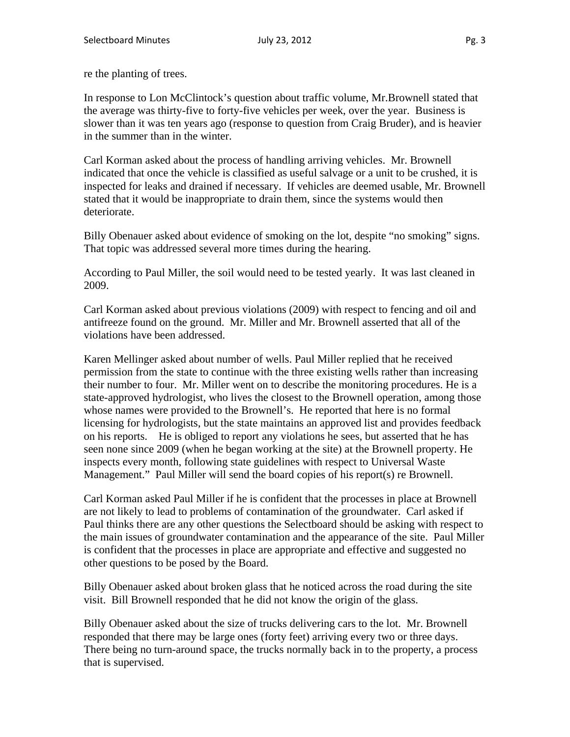re the planting of trees.

In response to Lon McClintock's question about traffic volume, Mr.Brownell stated that the average was thirty-five to forty-five vehicles per week, over the year. Business is slower than it was ten years ago (response to question from Craig Bruder), and is heavier in the summer than in the winter.

Carl Korman asked about the process of handling arriving vehicles. Mr. Brownell indicated that once the vehicle is classified as useful salvage or a unit to be crushed, it is inspected for leaks and drained if necessary. If vehicles are deemed usable, Mr. Brownell stated that it would be inappropriate to drain them, since the systems would then deteriorate.

Billy Obenauer asked about evidence of smoking on the lot, despite "no smoking" signs. That topic was addressed several more times during the hearing.

According to Paul Miller, the soil would need to be tested yearly. It was last cleaned in 2009.

Carl Korman asked about previous violations (2009) with respect to fencing and oil and antifreeze found on the ground. Mr. Miller and Mr. Brownell asserted that all of the violations have been addressed.

Karen Mellinger asked about number of wells. Paul Miller replied that he received permission from the state to continue with the three existing wells rather than increasing their number to four. Mr. Miller went on to describe the monitoring procedures. He is a state-approved hydrologist, who lives the closest to the Brownell operation, among those whose names were provided to the Brownell's. He reported that here is no formal licensing for hydrologists, but the state maintains an approved list and provides feedback on his reports. He is obliged to report any violations he sees, but asserted that he has seen none since 2009 (when he began working at the site) at the Brownell property. He inspects every month, following state guidelines with respect to Universal Waste Management." Paul Miller will send the board copies of his report(s) re Brownell.

Carl Korman asked Paul Miller if he is confident that the processes in place at Brownell are not likely to lead to problems of contamination of the groundwater. Carl asked if Paul thinks there are any other questions the Selectboard should be asking with respect to the main issues of groundwater contamination and the appearance of the site. Paul Miller is confident that the processes in place are appropriate and effective and suggested no other questions to be posed by the Board.

Billy Obenauer asked about broken glass that he noticed across the road during the site visit. Bill Brownell responded that he did not know the origin of the glass.

Billy Obenauer asked about the size of trucks delivering cars to the lot. Mr. Brownell responded that there may be large ones (forty feet) arriving every two or three days. There being no turn-around space, the trucks normally back in to the property, a process that is supervised.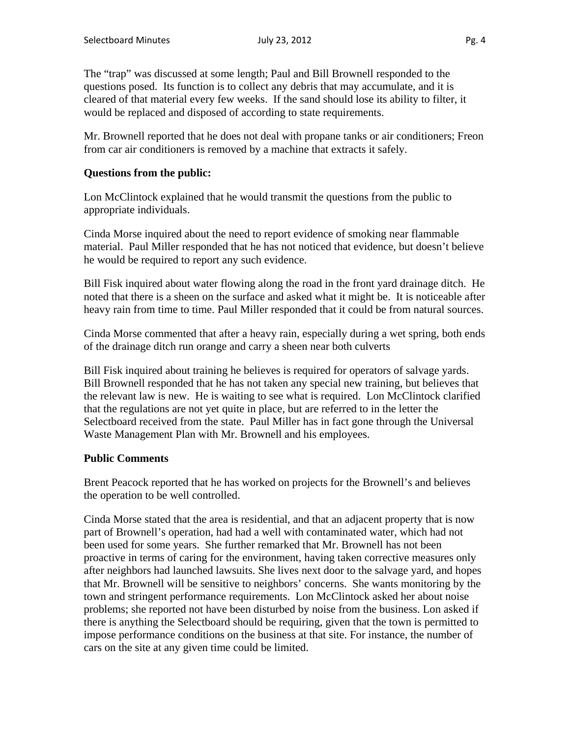The "trap" was discussed at some length; Paul and Bill Brownell responded to the questions posed. Its function is to collect any debris that may accumulate, and it is cleared of that material every few weeks. If the sand should lose its ability to filter, it would be replaced and disposed of according to state requirements.

Mr. Brownell reported that he does not deal with propane tanks or air conditioners; Freon from car air conditioners is removed by a machine that extracts it safely.

### **Questions from the public:**

Lon McClintock explained that he would transmit the questions from the public to appropriate individuals.

Cinda Morse inquired about the need to report evidence of smoking near flammable material. Paul Miller responded that he has not noticed that evidence, but doesn't believe he would be required to report any such evidence.

Bill Fisk inquired about water flowing along the road in the front yard drainage ditch. He noted that there is a sheen on the surface and asked what it might be. It is noticeable after heavy rain from time to time. Paul Miller responded that it could be from natural sources.

Cinda Morse commented that after a heavy rain, especially during a wet spring, both ends of the drainage ditch run orange and carry a sheen near both culverts

Bill Fisk inquired about training he believes is required for operators of salvage yards. Bill Brownell responded that he has not taken any special new training, but believes that the relevant law is new. He is waiting to see what is required. Lon McClintock clarified that the regulations are not yet quite in place, but are referred to in the letter the Selectboard received from the state. Paul Miller has in fact gone through the Universal Waste Management Plan with Mr. Brownell and his employees.

### **Public Comments**

Brent Peacock reported that he has worked on projects for the Brownell's and believes the operation to be well controlled.

Cinda Morse stated that the area is residential, and that an adjacent property that is now part of Brownell's operation, had had a well with contaminated water, which had not been used for some years. She further remarked that Mr. Brownell has not been proactive in terms of caring for the environment, having taken corrective measures only after neighbors had launched lawsuits. She lives next door to the salvage yard, and hopes that Mr. Brownell will be sensitive to neighbors' concerns. She wants monitoring by the town and stringent performance requirements. Lon McClintock asked her about noise problems; she reported not have been disturbed by noise from the business. Lon asked if there is anything the Selectboard should be requiring, given that the town is permitted to impose performance conditions on the business at that site. For instance, the number of cars on the site at any given time could be limited.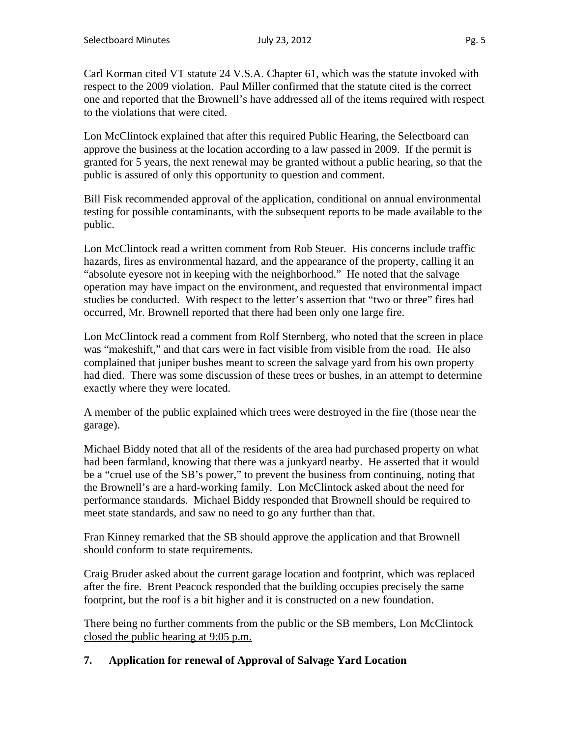Carl Korman cited VT statute 24 V.S.A. Chapter 61, which was the statute invoked with respect to the 2009 violation. Paul Miller confirmed that the statute cited is the correct one and reported that the Brownell's have addressed all of the items required with respect to the violations that were cited.

Lon McClintock explained that after this required Public Hearing, the Selectboard can approve the business at the location according to a law passed in 2009. If the permit is granted for 5 years, the next renewal may be granted without a public hearing, so that the public is assured of only this opportunity to question and comment.

Bill Fisk recommended approval of the application, conditional on annual environmental testing for possible contaminants, with the subsequent reports to be made available to the public.

Lon McClintock read a written comment from Rob Steuer. His concerns include traffic hazards, fires as environmental hazard, and the appearance of the property, calling it an "absolute eyesore not in keeping with the neighborhood." He noted that the salvage operation may have impact on the environment, and requested that environmental impact studies be conducted. With respect to the letter's assertion that "two or three" fires had occurred, Mr. Brownell reported that there had been only one large fire.

Lon McClintock read a comment from Rolf Sternberg, who noted that the screen in place was "makeshift," and that cars were in fact visible from visible from the road. He also complained that juniper bushes meant to screen the salvage yard from his own property had died. There was some discussion of these trees or bushes, in an attempt to determine exactly where they were located.

A member of the public explained which trees were destroyed in the fire (those near the garage).

Michael Biddy noted that all of the residents of the area had purchased property on what had been farmland, knowing that there was a junkyard nearby. He asserted that it would be a "cruel use of the SB's power," to prevent the business from continuing, noting that the Brownell's are a hard-working family. Lon McClintock asked about the need for performance standards. Michael Biddy responded that Brownell should be required to meet state standards, and saw no need to go any further than that.

Fran Kinney remarked that the SB should approve the application and that Brownell should conform to state requirements.

Craig Bruder asked about the current garage location and footprint, which was replaced after the fire. Brent Peacock responded that the building occupies precisely the same footprint, but the roof is a bit higher and it is constructed on a new foundation.

There being no further comments from the public or the SB members, Lon McClintock closed the public hearing at 9:05 p.m.

# **7. Application for renewal of Approval of Salvage Yard Location**